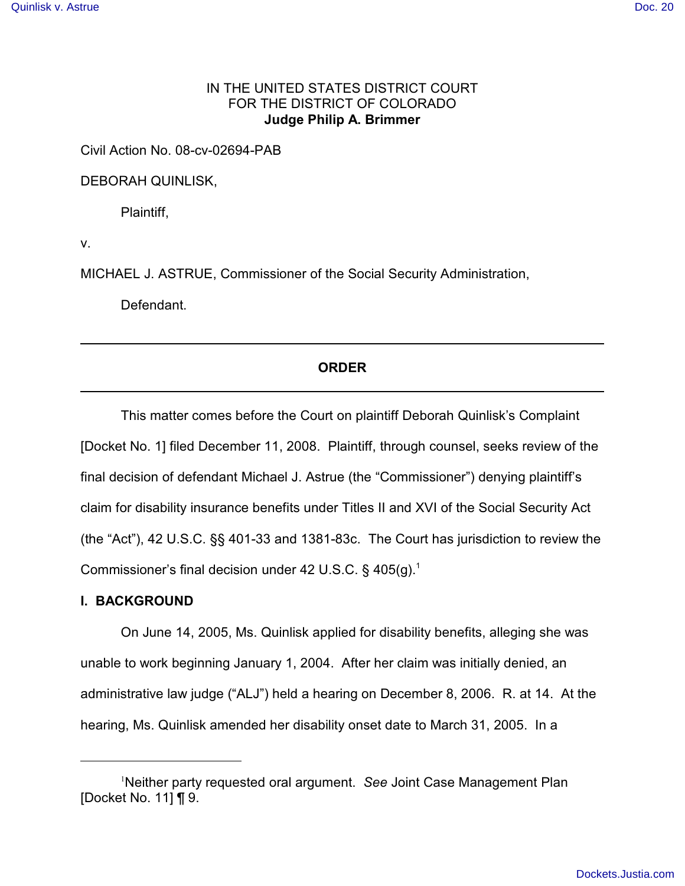# IN THE UNITED STATES DISTRICT COURT FOR THE DISTRICT OF COLORADO **Judge Philip A. Brimmer**

Civil Action No. 08-cv-02694-PAB

DEBORAH QUINLISK,

Plaintiff,

v.

MICHAEL J. ASTRUE, Commissioner of the Social Security Administration,

Defendant.

# **ORDER**

This matter comes before the Court on plaintiff Deborah Quinlisk's Complaint [Docket No. 1] filed December 11, 2008. Plaintiff, through counsel, seeks review of the final decision of defendant Michael J. Astrue (the "Commissioner") denying plaintiff's claim for disability insurance benefits under Titles II and XVI of the Social Security Act (the "Act"), 42 U.S.C. §§ 401-33 and 1381-83c. The Court has jurisdiction to review the Commissioner's final decision under 42 U.S.C.  $\S$  405(g).<sup>1</sup>

## **I. BACKGROUND**

On June 14, 2005, Ms. Quinlisk applied for disability benefits, alleging she was unable to work beginning January 1, 2004. After her claim was initially denied, an administrative law judge ("ALJ") held a hearing on December 8, 2006. R. at 14. At the hearing, Ms. Quinlisk amended her disability onset date to March 31, 2005. In a

Neither party requested oral argument. *See* Joint Case Management Plan <sup>1</sup> [Docket No. 11] ¶ 9.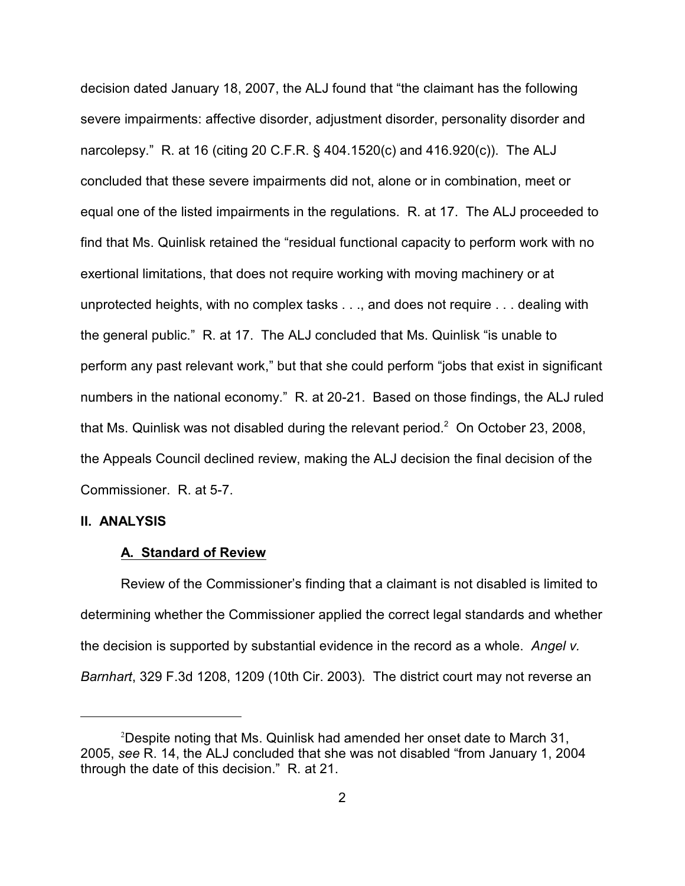decision dated January 18, 2007, the ALJ found that "the claimant has the following severe impairments: affective disorder, adjustment disorder, personality disorder and narcolepsy." R. at 16 (citing 20 C.F.R. § 404.1520(c) and 416.920(c)). The ALJ concluded that these severe impairments did not, alone or in combination, meet or equal one of the listed impairments in the regulations. R. at 17. The ALJ proceeded to find that Ms. Quinlisk retained the "residual functional capacity to perform work with no exertional limitations, that does not require working with moving machinery or at unprotected heights, with no complex tasks . . ., and does not require . . . dealing with the general public." R. at 17. The ALJ concluded that Ms. Quinlisk "is unable to perform any past relevant work," but that she could perform "jobs that exist in significant numbers in the national economy." R. at 20-21. Based on those findings, the ALJ ruled that Ms. Quinlisk was not disabled during the relevant period. $2$  On October 23, 2008, the Appeals Council declined review, making the ALJ decision the final decision of the Commissioner. R. at 5-7.

## **II. ANALYSIS**

#### **A. Standard of Review**

Review of the Commissioner's finding that a claimant is not disabled is limited to determining whether the Commissioner applied the correct legal standards and whether the decision is supported by substantial evidence in the record as a whole. *Angel v. Barnhart*, 329 F.3d 1208, 1209 (10th Cir. 2003). The district court may not reverse an

<sup>&</sup>lt;sup>2</sup>Despite noting that Ms. Quinlisk had amended her onset date to March 31, 2005, *see* R. 14, the ALJ concluded that she was not disabled "from January 1, 2004 through the date of this decision." R. at 21.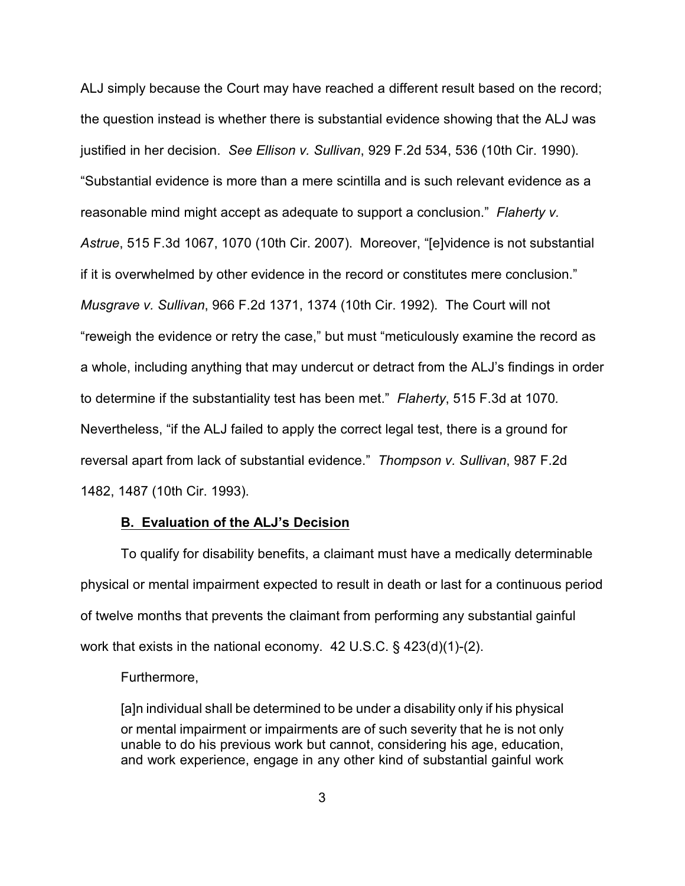ALJ simply because the Court may have reached a different result based on the record; the question instead is whether there is substantial evidence showing that the ALJ was justified in her decision. *See Ellison v. Sullivan*, 929 F.2d 534, 536 (10th Cir. 1990). "Substantial evidence is more than a mere scintilla and is such relevant evidence as a reasonable mind might accept as adequate to support a conclusion." *Flaherty v. Astrue*, 515 F.3d 1067, 1070 (10th Cir. 2007). Moreover, "[e]vidence is not substantial if it is overwhelmed by other evidence in the record or constitutes mere conclusion." *Musgrave v. Sullivan*, 966 F.2d 1371, 1374 (10th Cir. 1992). The Court will not "reweigh the evidence or retry the case," but must "meticulously examine the record as a whole, including anything that may undercut or detract from the ALJ's findings in order to determine if the substantiality test has been met." *Flaherty*, 515 F.3d at 1070*.*  Nevertheless, "if the ALJ failed to apply the correct legal test, there is a ground for reversal apart from lack of substantial evidence." *Thompson v. Sullivan*, 987 F.2d 1482, 1487 (10th Cir. 1993).

## **B. Evaluation of the ALJ's Decision**

To qualify for disability benefits, a claimant must have a medically determinable physical or mental impairment expected to result in death or last for a continuous period of twelve months that prevents the claimant from performing any substantial gainful work that exists in the national economy. 42 U.S.C. § 423(d)(1)-(2).

## Furthermore,

[a]n individual shall be determined to be under a disability only if his physical or mental impairment or impairments are of such severity that he is not only unable to do his previous work but cannot, considering his age, education, and work experience, engage in any other kind of substantial gainful work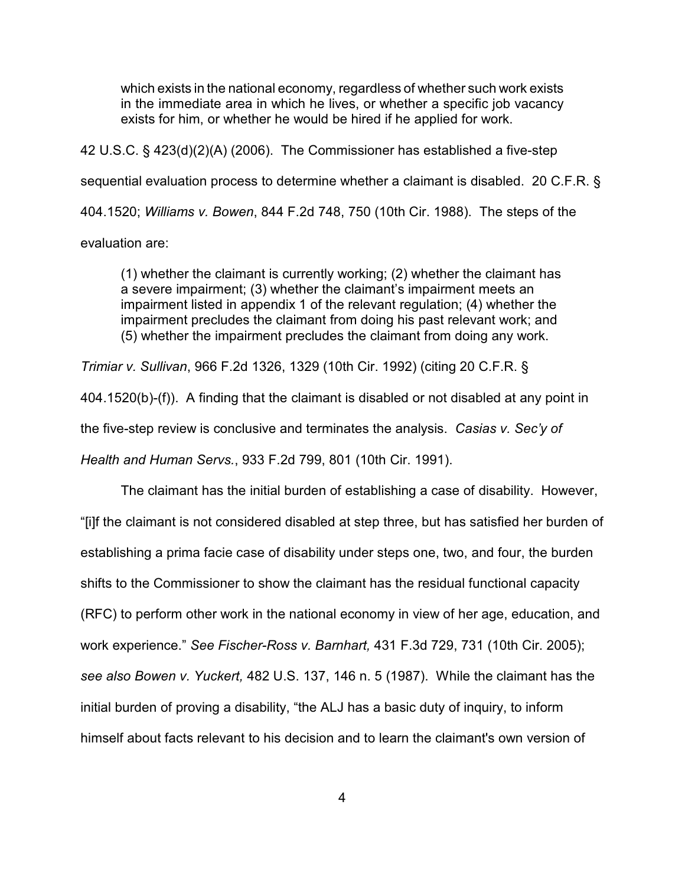which exists in the national economy, regardless of whether such work exists in the immediate area in which he lives, or whether a specific job vacancy exists for him, or whether he would be hired if he applied for work.

42 U.S.C. § 423(d)(2)(A) (2006). The Commissioner has established a five-step sequential evaluation process to determine whether a claimant is disabled. 20 C.F.R. § 404.1520; *Williams v. Bowen*, 844 F.2d 748, 750 (10th Cir. 1988). The steps of the evaluation are:

(1) whether the claimant is currently working; (2) whether the claimant has a severe impairment; (3) whether the claimant's impairment meets an impairment listed in appendix 1 of the relevant regulation; (4) whether the impairment precludes the claimant from doing his past relevant work; and (5) whether the impairment precludes the claimant from doing any work.

*Trimiar v. Sullivan*, 966 F.2d 1326, 1329 (10th Cir. 1992) (citing 20 C.F.R. § 404.1520(b)-(f)). A finding that the claimant is disabled or not disabled at any point in the five-step review is conclusive and terminates the analysis. *Casias v. Sec'y of Health and Human Servs.*, 933 F.2d 799, 801 (10th Cir. 1991).

The claimant has the initial burden of establishing a case of disability. However, "[i]f the claimant is not considered disabled at step three, but has satisfied her burden of establishing a prima facie case of disability under steps one, two, and four, the burden shifts to the Commissioner to show the claimant has the residual functional capacity (RFC) to perform other work in the national economy in view of her age, education, and work experience." *See Fischer-Ross v. Barnhart,* 431 F.3d 729, 731 (10th Cir. 2005); *see also Bowen v. Yuckert,* 482 U.S. 137, 146 n. 5 (1987). While the claimant has the initial burden of proving a disability, "the ALJ has a basic duty of inquiry, to inform himself about facts relevant to his decision and to learn the claimant's own version of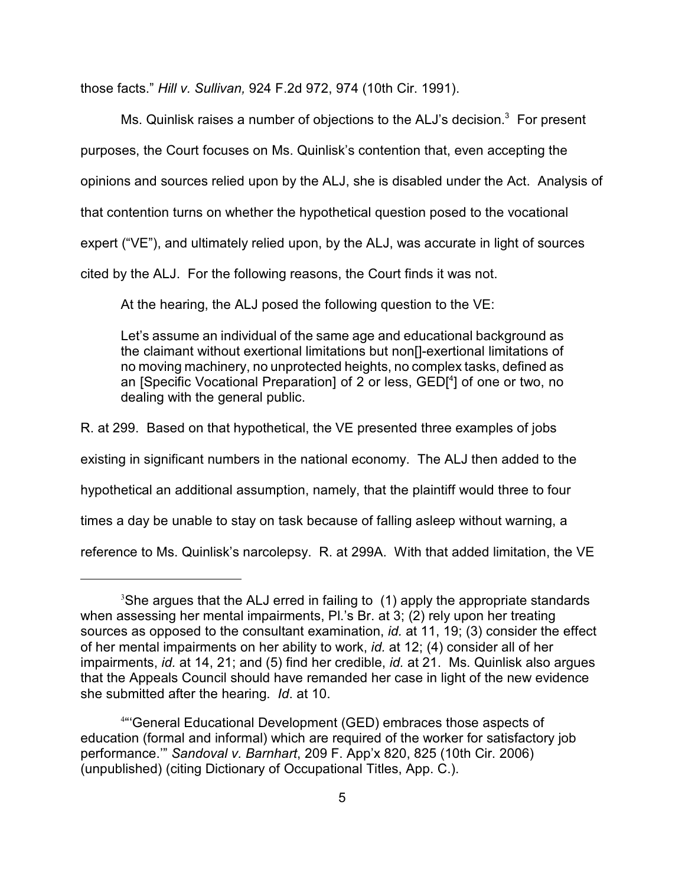those facts." *Hill v. Sullivan,* 924 F.2d 972, 974 (10th Cir. 1991).

Ms. Quinlisk raises a number of objections to the ALJ's decision. $3$  For present purposes, the Court focuses on Ms. Quinlisk's contention that, even accepting the opinions and sources relied upon by the ALJ, she is disabled under the Act. Analysis of that contention turns on whether the hypothetical question posed to the vocational expert ("VE"), and ultimately relied upon, by the ALJ, was accurate in light of sources cited by the ALJ. For the following reasons, the Court finds it was not.

At the hearing, the ALJ posed the following question to the VE:

Let's assume an individual of the same age and educational background as the claimant without exertional limitations but non[]-exertional limitations of no moving machinery, no unprotected heights, no complex tasks, defined as an [Specific Vocational Preparation] of 2 or less, GED[<sup>4</sup>] of one or two, no dealing with the general public.

R. at 299. Based on that hypothetical, the VE presented three examples of jobs

existing in significant numbers in the national economy. The ALJ then added to the

hypothetical an additional assumption, namely, that the plaintiff would three to four

times a day be unable to stay on task because of falling asleep without warning, a

reference to Ms. Quinlisk's narcolepsy. R. at 299A. With that added limitation, the VE

 $3$ She argues that the ALJ erred in failing to (1) apply the appropriate standards when assessing her mental impairments, Pl.'s Br. at 3; (2) rely upon her treating sources as opposed to the consultant examination, *id.* at 11, 19; (3) consider the effect of her mental impairments on her ability to work, *id.* at 12; (4) consider all of her impairments, *id.* at 14, 21; and (5) find her credible, *id.* at 21. Ms. Quinlisk also argues that the Appeals Council should have remanded her case in light of the new evidence she submitted after the hearing. *Id*. at 10.

<sup>&</sup>lt;sup>4</sup>"General Educational Development (GED) embraces those aspects of education (formal and informal) which are required of the worker for satisfactory job performance.'" *Sandoval v. Barnhart*, 209 F. App'x 820, 825 (10th Cir. 2006) (unpublished) (citing Dictionary of Occupational Titles, App. C.).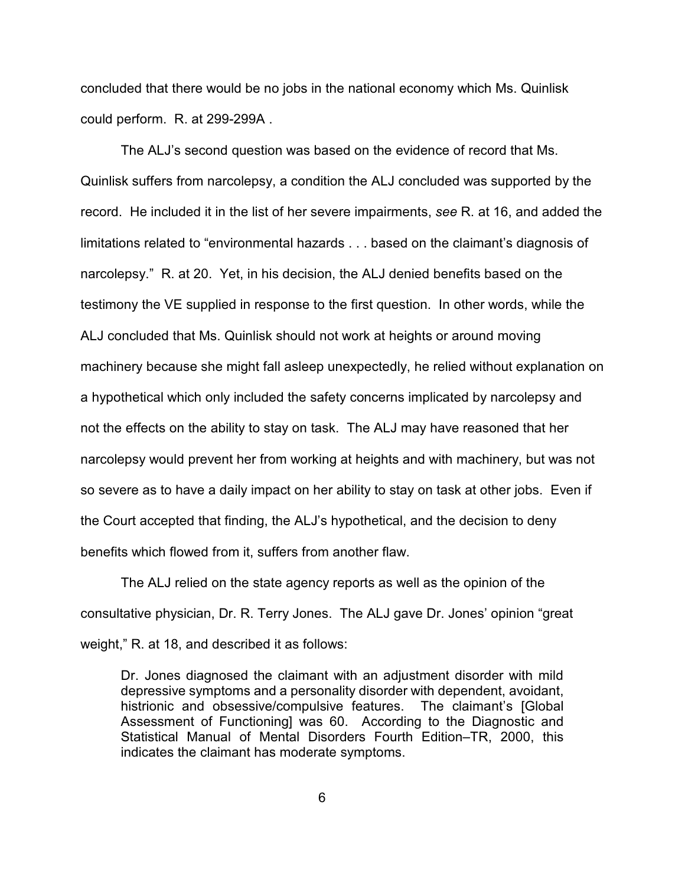concluded that there would be no jobs in the national economy which Ms. Quinlisk could perform. R. at 299-299A .

The ALJ's second question was based on the evidence of record that Ms. Quinlisk suffers from narcolepsy, a condition the ALJ concluded was supported by the record. He included it in the list of her severe impairments, *see* R. at 16, and added the limitations related to "environmental hazards . . . based on the claimant's diagnosis of narcolepsy." R. at 20. Yet, in his decision, the ALJ denied benefits based on the testimony the VE supplied in response to the first question. In other words, while the ALJ concluded that Ms. Quinlisk should not work at heights or around moving machinery because she might fall asleep unexpectedly, he relied without explanation on a hypothetical which only included the safety concerns implicated by narcolepsy and not the effects on the ability to stay on task. The ALJ may have reasoned that her narcolepsy would prevent her from working at heights and with machinery, but was not so severe as to have a daily impact on her ability to stay on task at other jobs. Even if the Court accepted that finding, the ALJ's hypothetical, and the decision to deny benefits which flowed from it, suffers from another flaw.

The ALJ relied on the state agency reports as well as the opinion of the consultative physician, Dr. R. Terry Jones. The ALJ gave Dr. Jones' opinion "great weight," R. at 18, and described it as follows:

Dr. Jones diagnosed the claimant with an adjustment disorder with mild depressive symptoms and a personality disorder with dependent, avoidant, histrionic and obsessive/compulsive features. The claimant's [Global Assessment of Functioning] was 60. According to the Diagnostic and Statistical Manual of Mental Disorders Fourth Edition–TR, 2000, this indicates the claimant has moderate symptoms.

6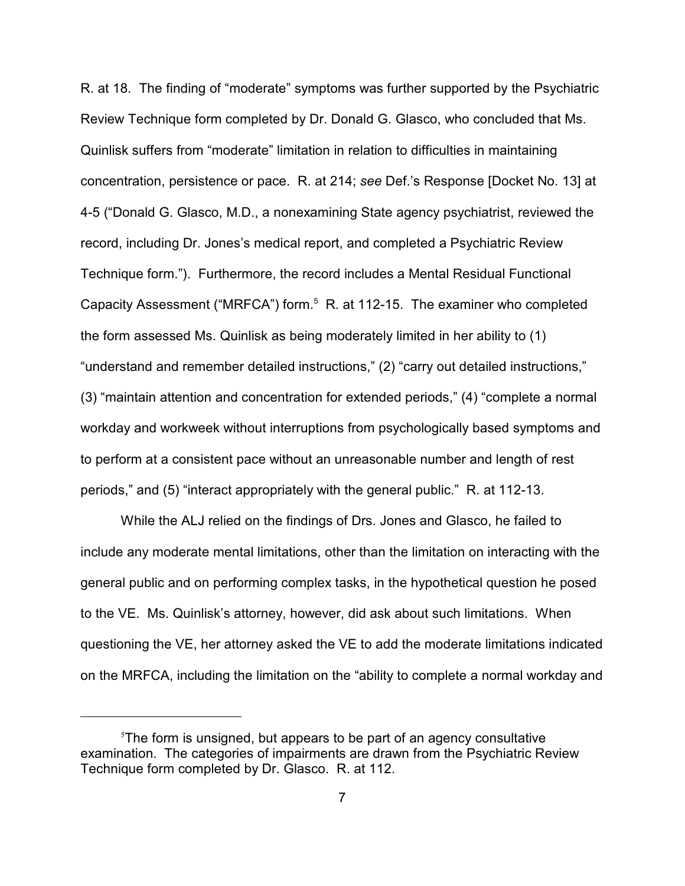R. at 18. The finding of "moderate" symptoms was further supported by the Psychiatric Review Technique form completed by Dr. Donald G. Glasco, who concluded that Ms. Quinlisk suffers from "moderate" limitation in relation to difficulties in maintaining concentration, persistence or pace. R. at 214; *see* Def.'s Response [Docket No. 13] at 4-5 ("Donald G. Glasco, M.D., a nonexamining State agency psychiatrist, reviewed the record, including Dr. Jones's medical report, and completed a Psychiatric Review Technique form."). Furthermore, the record includes a Mental Residual Functional Capacity Assessment ("MRFCA") form.<sup>5</sup> R. at 112-15. The examiner who completed the form assessed Ms. Quinlisk as being moderately limited in her ability to (1) "understand and remember detailed instructions," (2) "carry out detailed instructions," (3) "maintain attention and concentration for extended periods," (4) "complete a normal workday and workweek without interruptions from psychologically based symptoms and to perform at a consistent pace without an unreasonable number and length of rest periods," and (5) "interact appropriately with the general public." R. at 112-13.

While the ALJ relied on the findings of Drs. Jones and Glasco, he failed to include any moderate mental limitations, other than the limitation on interacting with the general public and on performing complex tasks, in the hypothetical question he posed to the VE. Ms. Quinlisk's attorney, however, did ask about such limitations. When questioning the VE, her attorney asked the VE to add the moderate limitations indicated on the MRFCA, including the limitation on the "ability to complete a normal workday and

 $5$ The form is unsigned, but appears to be part of an agency consultative examination. The categories of impairments are drawn from the Psychiatric Review Technique form completed by Dr. Glasco. R. at 112.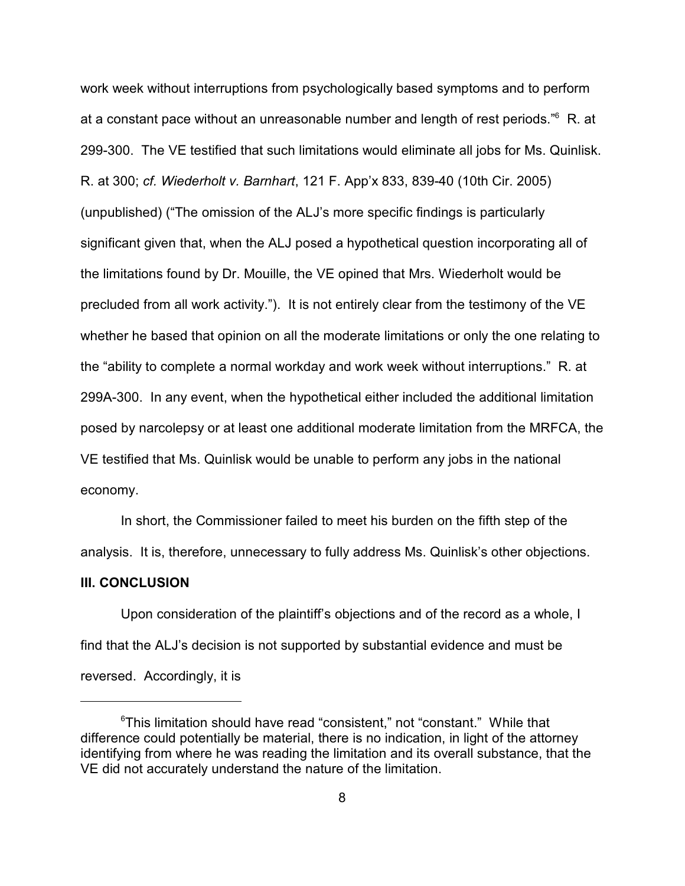work week without interruptions from psychologically based symptoms and to perform at a constant pace without an unreasonable number and length of rest periods.<sup>"6</sup> R. at 299-300. The VE testified that such limitations would eliminate all jobs for Ms. Quinlisk. R. at 300; *cf. Wiederholt v. Barnhart*, 121 F. App'x 833, 839-40 (10th Cir. 2005) (unpublished) ("The omission of the ALJ's more specific findings is particularly significant given that, when the ALJ posed a hypothetical question incorporating all of the limitations found by Dr. Mouille, the VE opined that Mrs. Wiederholt would be precluded from all work activity."). It is not entirely clear from the testimony of the VE whether he based that opinion on all the moderate limitations or only the one relating to the "ability to complete a normal workday and work week without interruptions." R. at 299A-300. In any event, when the hypothetical either included the additional limitation posed by narcolepsy or at least one additional moderate limitation from the MRFCA, the VE testified that Ms. Quinlisk would be unable to perform any jobs in the national economy.

In short, the Commissioner failed to meet his burden on the fifth step of the analysis. It is, therefore, unnecessary to fully address Ms. Quinlisk's other objections.

## **III. CONCLUSION**

Upon consideration of the plaintiff's objections and of the record as a whole, I find that the ALJ's decision is not supported by substantial evidence and must be reversed. Accordingly, it is

 $\mathrm{^6}$ This limitation should have read "consistent," not "constant." While that difference could potentially be material, there is no indication, in light of the attorney identifying from where he was reading the limitation and its overall substance, that the VE did not accurately understand the nature of the limitation.